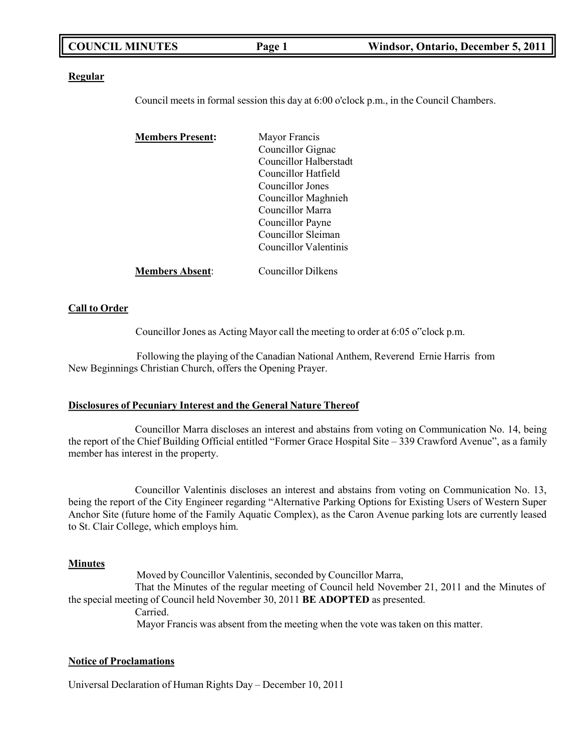|  | <b>COUNCIL MINUTES</b> | Page 1 | Windsor, Ontario, December 5, 2011 |
|--|------------------------|--------|------------------------------------|
|--|------------------------|--------|------------------------------------|

#### **Regular**

Council meets in formal session this day at 6:00 o'clock p.m., in the Council Chambers.

| <b>Members Present:</b> | Mayor Francis             |
|-------------------------|---------------------------|
|                         | Councillor Gignac         |
|                         | Councillor Halberstadt    |
|                         | Councillor Hatfield       |
|                         | Councillor Jones          |
|                         | Councillor Maghnieh       |
|                         | Councillor Marra          |
|                         | Councillor Payne          |
|                         | Councillor Sleiman        |
|                         | Councillor Valentinis     |
| <b>Members Absent:</b>  | <b>Councillor Dilkens</b> |

#### **Call to Order**

Councillor Jones as Acting Mayor call the meeting to order at 6:05 o"clock p.m.

Following the playing of the Canadian National Anthem, Reverend Ernie Harris from New Beginnings Christian Church, offers the Opening Prayer.

#### **Disclosures of Pecuniary Interest and the General Nature Thereof**

Councillor Marra discloses an interest and abstains from voting on Communication No. 14, being the report of the Chief Building Official entitled "Former Grace Hospital Site – 339 Crawford Avenue", as a family member has interest in the property.

Councillor Valentinis discloses an interest and abstains from voting on Communication No. 13, being the report of the City Engineer regarding "Alternative Parking Options for Existing Users of Western Super Anchor Site (future home of the Family Aquatic Complex), as the Caron Avenue parking lots are currently leased to St. Clair College, which employs him.

#### **Minutes**

Moved by Councillor Valentinis, seconded by Councillor Marra, That the Minutes of the regular meeting of Council held November 21, 2011 and the Minutes of the special meeting of Council held November 30, 2011 **BE ADOPTED** as presented. Carried. Mayor Francis was absent from the meeting when the vote was taken on this matter.

#### **Notice of Proclamations**

Universal Declaration of Human Rights Day – December 10, 2011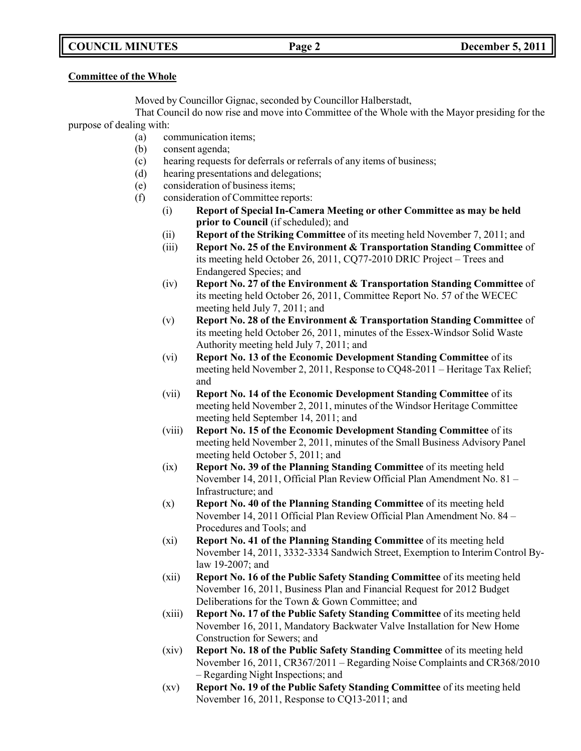## **COUNCIL MINUTES Page 2 December 5, 2011**

### **Committee of the Whole**

Moved by Councillor Gignac, seconded by Councillor Halberstadt,

That Council do now rise and move into Committee of the Whole with the Mayor presiding for the purpose of dealing with:

- (a) communication items;
- (b) consent agenda;
- (c) hearing requests for deferrals or referrals of any items of business;
- (d) hearing presentations and delegations;
- (e) consideration of business items;
- (f) consideration of Committee reports:
	- (i) **Report of Special In-Camera Meeting or other Committee as may be held prior to Council** (if scheduled); and
	- (ii) **Report of the Striking Committee** of its meeting held November 7, 2011; and
	- (iii) **Report No. 25 of the Environment & Transportation Standing Committee** of its meeting held October 26, 2011, CQ77-2010 DRIC Project – Trees and Endangered Species; and
	- (iv) **Report No. 27 of the Environment & Transportation Standing Committee** of its meeting held October 26, 2011, Committee Report No. 57 of the WECEC meeting held July 7, 2011; and
	- (v) **Report No. 28 of the Environment & Transportation Standing Committee** of its meeting held October 26, 2011, minutes of the Essex-Windsor Solid Waste Authority meeting held July 7, 2011; and
	- (vi) **Report No. 13 of the Economic Development Standing Committee** of its meeting held November 2, 2011, Response to CQ48-2011 – Heritage Tax Relief; and
	- (vii) **Report No. 14 of the Economic Development Standing Committee** of its meeting held November 2, 2011, minutes of the Windsor Heritage Committee meeting held September 14, 2011; and
	- (viii) **Report No. 15 of the Economic Development Standing Committee** of its meeting held November 2, 2011, minutes of the Small Business Advisory Panel meeting held October 5, 2011; and
	- (ix) **Report No. 39 of the Planning Standing Committee** of its meeting held November 14, 2011, Official Plan Review Official Plan Amendment No. 81 – Infrastructure; and
	- (x) **Report No. 40 of the Planning Standing Committee** of its meeting held November 14, 2011 Official Plan Review Official Plan Amendment No. 84 – Procedures and Tools; and
	- (xi) **Report No. 41 of the Planning Standing Committee** of its meeting held November 14, 2011, 3332-3334 Sandwich Street, Exemption to Interim Control Bylaw 19-2007; and
	- (xii) **Report No. 16 of the Public Safety Standing Committee** of its meeting held November 16, 2011, Business Plan and Financial Request for 2012 Budget Deliberations for the Town & Gown Committee; and
	- (xiii) **Report No. 17 of the Public Safety Standing Committee** of its meeting held November 16, 2011, Mandatory Backwater Valve Installation for New Home Construction for Sewers; and
	- (xiv) **Report No. 18 of the Public Safety Standing Committee** of its meeting held November 16, 2011, CR367/2011 – Regarding Noise Complaints and CR368/2010 – Regarding Night Inspections; and
	- (xv) **Report No. 19 of the Public Safety Standing Committee** of its meeting held November 16, 2011, Response to CQ13-2011; and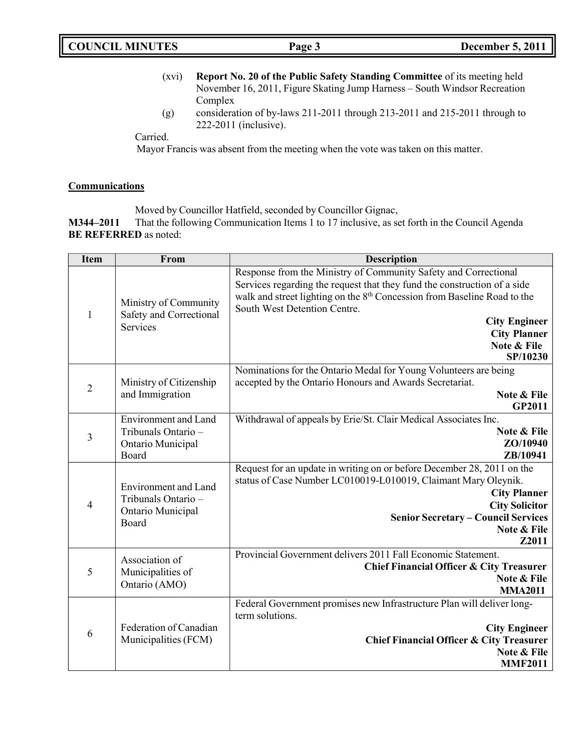- (xvi) **Report No. 20 of the Public Safety Standing Committee** of its meeting held November 16, 2011, Figure Skating Jump Harness – South Windsor Recreation Complex
- (g) consideration of by-laws 211-2011 through 213-2011 and 215-2011 through to 222-2011 (inclusive).

### Carried.

Mayor Francis was absent from the meeting when the vote was taken on this matter.

### **Communications**

Moved by Councillor Hatfield, seconded by Councillor Gignac,

**M344–2011** That the following Communication Items 1 to 17 inclusive, as set forth in the Council Agenda **BE REFERRED** as noted:

| <b>Item</b>    | From                                                                             | <b>Description</b>                                                                                                                                                                                                                                             |
|----------------|----------------------------------------------------------------------------------|----------------------------------------------------------------------------------------------------------------------------------------------------------------------------------------------------------------------------------------------------------------|
|                | Ministry of Community                                                            | Response from the Ministry of Community Safety and Correctional<br>Services regarding the request that they fund the construction of a side<br>walk and street lighting on the 8 <sup>th</sup> Concession from Baseline Road to the                            |
| $\mathbf{1}$   | Safety and Correctional<br>Services                                              | South West Detention Centre.<br><b>City Engineer</b><br><b>City Planner</b><br>Note & File                                                                                                                                                                     |
|                |                                                                                  | SP/10230                                                                                                                                                                                                                                                       |
| $\overline{c}$ | Ministry of Citizenship<br>and Immigration                                       | Nominations for the Ontario Medal for Young Volunteers are being<br>accepted by the Ontario Honours and Awards Secretariat.<br>Note & File<br><b>GP2011</b>                                                                                                    |
| 3              | <b>Environment</b> and Land<br>Tribunals Ontario -<br>Ontario Municipal<br>Board | Withdrawal of appeals by Erie/St. Clair Medical Associates Inc.<br>Note & File<br>ZO/10940<br>ZB/10941                                                                                                                                                         |
| 4              | <b>Environment</b> and Land<br>Tribunals Ontario -<br>Ontario Municipal<br>Board | Request for an update in writing on or before December 28, 2011 on the<br>status of Case Number LC010019-L010019, Claimant Mary Oleynik.<br><b>City Planner</b><br><b>City Solicitor</b><br><b>Senior Secretary - Council Services</b><br>Note & File<br>Z2011 |
| 5              | Association of<br>Municipalities of<br>Ontario (AMO)                             | Provincial Government delivers 2011 Fall Economic Statement.<br><b>Chief Financial Officer &amp; City Treasurer</b><br>Note & File<br><b>MMA2011</b>                                                                                                           |
| 6              | Federation of Canadian<br>Municipalities (FCM)                                   | Federal Government promises new Infrastructure Plan will deliver long-<br>term solutions.<br><b>City Engineer</b><br><b>Chief Financial Officer &amp; City Treasurer</b><br>Note & File<br><b>MMF2011</b>                                                      |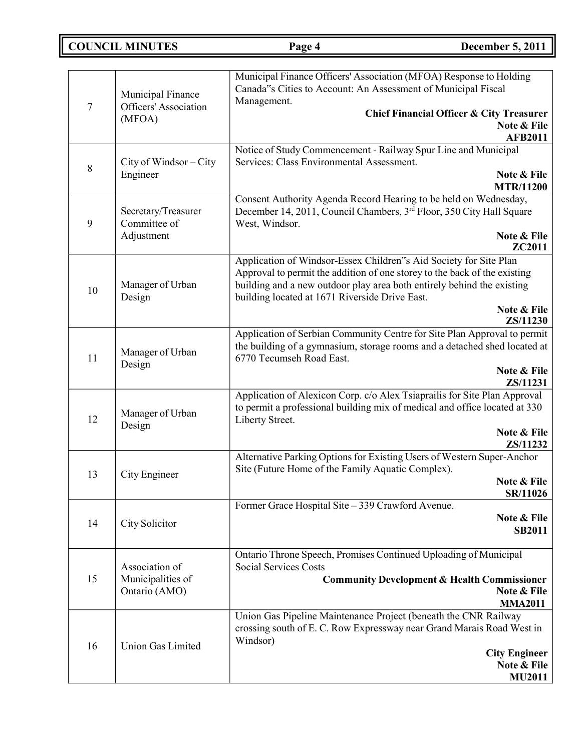## **COUNCIL MINUTES Page 4 December 5, 2011**

| 7  | Municipal Finance<br>Officers' Association<br>(MFOA) | Municipal Finance Officers' Association (MFOA) Response to Holding<br>Canada"s Cities to Account: An Assessment of Municipal Fiscal<br>Management.<br><b>Chief Financial Officer &amp; City Treasurer</b><br>Note & File<br><b>AFB2011</b>                                                |
|----|------------------------------------------------------|-------------------------------------------------------------------------------------------------------------------------------------------------------------------------------------------------------------------------------------------------------------------------------------------|
| 8  | City of Windsor – City<br>Engineer                   | Notice of Study Commencement - Railway Spur Line and Municipal<br>Services: Class Environmental Assessment.<br>Note & File<br><b>MTR/11200</b>                                                                                                                                            |
| 9  | Secretary/Treasurer<br>Committee of<br>Adjustment    | Consent Authority Agenda Record Hearing to be held on Wednesday,<br>December 14, 2011, Council Chambers, 3rd Floor, 350 City Hall Square<br>West, Windsor.<br>Note & File<br>ZC2011                                                                                                       |
| 10 | Manager of Urban<br>Design                           | Application of Windsor-Essex Children"s Aid Society for Site Plan<br>Approval to permit the addition of one storey to the back of the existing<br>building and a new outdoor play area both entirely behind the existing<br>building located at 1671 Riverside Drive East.<br>Note & File |
|    |                                                      | ZS/11230                                                                                                                                                                                                                                                                                  |
| 11 | Manager of Urban<br>Design                           | Application of Serbian Community Centre for Site Plan Approval to permit<br>the building of a gymnasium, storage rooms and a detached shed located at<br>6770 Tecumseh Road East.<br>Note & File                                                                                          |
| 12 | Manager of Urban<br>Design                           | ZS/11231<br>Application of Alexicon Corp. c/o Alex Tsiaprailis for Site Plan Approval<br>to permit a professional building mix of medical and office located at 330<br>Liberty Street.<br>Note & File                                                                                     |
| 13 | City Engineer                                        | ZS/11232<br>Alternative Parking Options for Existing Users of Western Super-Anchor<br>Site (Future Home of the Family Aquatic Complex).<br>Note & File<br>SR/11026                                                                                                                        |
| 14 | City Solicitor                                       | Former Grace Hospital Site - 339 Crawford Avenue.<br>Note & File<br><b>SB2011</b>                                                                                                                                                                                                         |
| 15 | Association of<br>Municipalities of<br>Ontario (AMO) | Ontario Throne Speech, Promises Continued Uploading of Municipal<br><b>Social Services Costs</b><br><b>Community Development &amp; Health Commissioner</b><br>Note & File<br><b>MMA2011</b>                                                                                               |
| 16 | <b>Union Gas Limited</b>                             | Union Gas Pipeline Maintenance Project (beneath the CNR Railway<br>crossing south of E. C. Row Expressway near Grand Marais Road West in<br>Windsor)<br><b>City Engineer</b><br>Note & File<br><b>MU2011</b>                                                                              |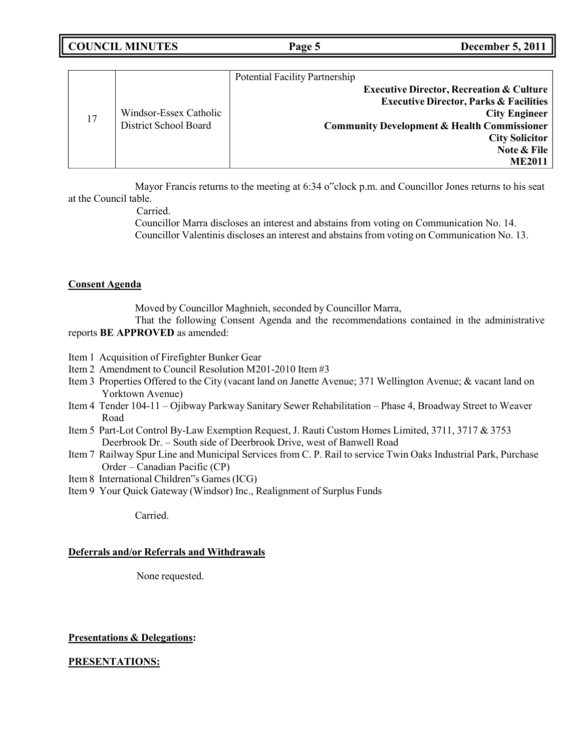|    |                        | <b>Potential Facility Partnership</b>                  |
|----|------------------------|--------------------------------------------------------|
|    |                        | <b>Executive Director, Recreation &amp; Culture</b>    |
|    |                        | <b>Executive Director, Parks &amp; Facilities</b>      |
| 17 | Windsor-Essex Catholic | <b>City Engineer</b>                                   |
|    | District School Board  | <b>Community Development &amp; Health Commissioner</b> |
|    |                        | <b>City Solicitor</b>                                  |
|    |                        | Note & File                                            |
|    |                        | <b>ME2011</b>                                          |
|    |                        |                                                        |

Mayor Francis returns to the meeting at 6:34 o"clock p.m. and Councillor Jones returns to his seat at the Council table.

Carried.

Councillor Marra discloses an interest and abstains from voting on Communication No. 14. Councillor Valentinis discloses an interest and abstains from voting on Communication No. 13.

### **Consent Agenda**

Moved by Councillor Maghnieh, seconded by Councillor Marra,

That the following Consent Agenda and the recommendations contained in the administrative reports **BE APPROVED** as amended:

- Item 1 Acquisition of Firefighter Bunker Gear
- Item 2 Amendment to Council Resolution M201-2010 Item #3
- Item 3 Properties Offered to the City (vacant land on Janette Avenue; 371 Wellington Avenue; & vacant land on Yorktown Avenue)
- Item 4 Tender 104-11 Ojibway Parkway Sanitary Sewer Rehabilitation Phase 4, Broadway Street to Weaver Road
- Item 5 Part-Lot Control By-Law Exemption Request, J. Rauti Custom Homes Limited, 3711, 3717 & 3753 Deerbrook Dr. – South side of Deerbrook Drive, west of Banwell Road
- Item 7 Railway Spur Line and Municipal Services from C. P. Rail to service Twin Oaks Industrial Park, Purchase Order – Canadian Pacific (CP)
- Item 8 International Children"s Games(ICG)
- Item 9 Your Quick Gateway (Windsor) Inc., Realignment of Surplus Funds

Carried.

### **Deferrals and/or Referrals and Withdrawals**

None requested.

### **Presentations & Delegations:**

### **PRESENTATIONS:**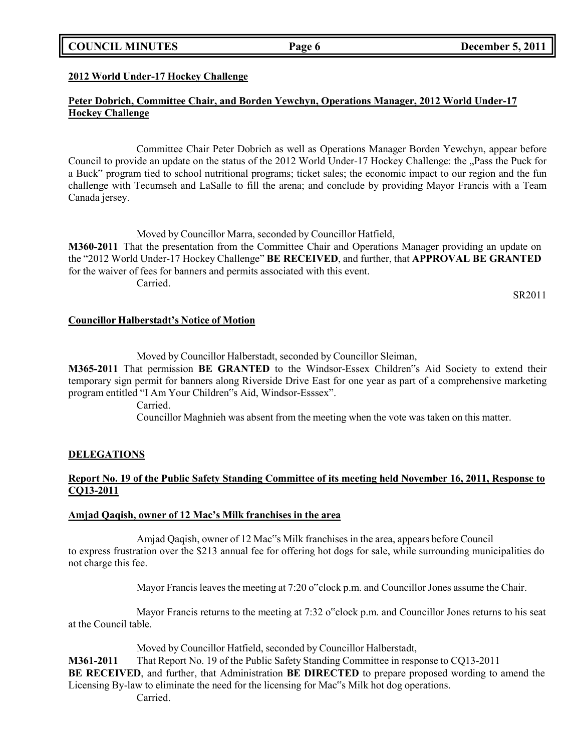### **COUNCIL MINUTES Page 6 December 5, 2011**

#### **2012 World Under-17 Hockey Challenge**

### **Peter Dobrich, Committee Chair, and Borden Yewchyn, Operations Manager, 2012 World Under-17 Hockey Challenge**

Committee Chair Peter Dobrich as well as Operations Manager Borden Yewchyn, appear before Council to provide an update on the status of the 2012 World Under-17 Hockey Challenge: the "Pass the Puck for a Buck" program tied to school nutritional programs; ticket sales; the economic impact to our region and the fun challenge with Tecumseh and LaSalle to fill the arena; and conclude by providing Mayor Francis with a Team Canada jersey.

Moved by Councillor Marra, seconded by Councillor Hatfield, **M360-2011** That the presentation from the Committee Chair and Operations Manager providing an update on the "2012 World Under-17 Hockey Challenge" **BE RECEIVED**, and further, that **APPROVAL BE GRANTED** for the waiver of fees for banners and permits associated with this event. Carried.

SR2011

#### **Councillor Halberstadt's Notice of Motion**

Moved by Councillor Halberstadt, seconded by Councillor Sleiman,

**M365-2011** That permission **BE GRANTED** to the Windsor-Essex Children"s Aid Society to extend their temporary sign permit for banners along Riverside Drive East for one year as part of a comprehensive marketing program entitled "I Am Your Children"s Aid, Windsor-Esssex".

Carried.

Councillor Maghnieh was absent from the meeting when the vote was taken on this matter.

### **DELEGATIONS**

### **Report No. 19 of the Public Safety Standing Committee of its meeting held November 16, 2011, Response to CQ13-2011**

#### **Amjad Qaqish, owner of 12 Mac's Milk franchises in the area**

Amjad Qaqish, owner of 12 Mac"s Milk franchises in the area, appears before Council to express frustration over the \$213 annual fee for offering hot dogs for sale, while surrounding municipalities do not charge this fee.

Mayor Francis leaves the meeting at 7:20 o"clock p.m. and Councillor Jones assume the Chair.

Mayor Francis returns to the meeting at 7:32 o"clock p.m. and Councillor Jones returns to his seat at the Council table.

Moved by Councillor Hatfield, seconded by Councillor Halberstadt,

**M361-2011** That Report No. 19 of the Public Safety Standing Committee in response to CQ13-2011 **BE RECEIVED**, and further, that Administration **BE DIRECTED** to prepare proposed wording to amend the Licensing By-law to eliminate the need for the licensing for Mac"s Milk hot dog operations. Carried.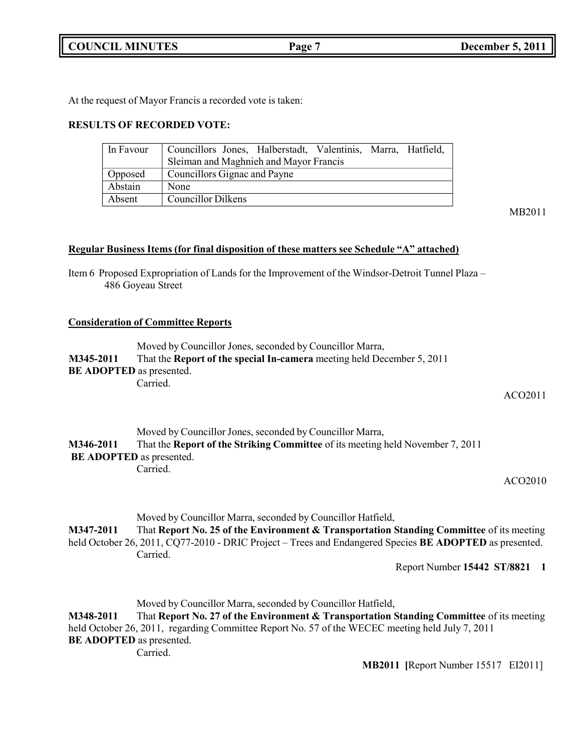**COUNCIL MINUTES Page 7 December 5, 2011**

At the request of Mayor Francis a recorded vote is taken:

### **RESULTS OF RECORDED VOTE:**

| In Favour | Councillors Jones, Halberstadt, Valentinis, Marra, Hatfield, |
|-----------|--------------------------------------------------------------|
|           | Sleiman and Maghnieh and Mayor Francis                       |
| Opposed   | Councillors Gignac and Payne                                 |
| Abstain   | None                                                         |
| Absent    | <b>Councillor Dilkens</b>                                    |

MB2011

#### **Regular Business Items (for final disposition of these matters see Schedule "A" attached)**

Item 6 Proposed Expropriation of Lands for the Improvement of the Windsor-Detroit Tunnel Plaza – 486 Goyeau Street

#### **Consideration of Committee Reports**

Moved by Councillor Jones, seconded by Councillor Marra, **M345-2011** That the **Report of the special In-camera** meeting held December 5, 2011 **BE ADOPTED** as presented. Carried.

ACO2011

|           | Moved by Councillor Jones, seconded by Councillor Marra,                              |
|-----------|---------------------------------------------------------------------------------------|
| M346-2011 | That the <b>Report of the Striking Committee</b> of its meeting held November 7, 2011 |
|           | <b>BE ADOPTED</b> as presented.                                                       |
|           | Carried.                                                                              |

ACO2010

Moved by Councillor Marra, seconded by Councillor Hatfield,

**M347-2011** That **Report No. 25 of the Environment & Transportation Standing Committee** of its meeting held October 26, 2011, CQ77-2010 - DRIC Project – Trees and Endangered Species **BE ADOPTED** as presented. Carried.

Report Number **15442 ST/8821 1**

Moved by Councillor Marra, seconded by Councillor Hatfield,

**M348-2011** That **Report No. 27 of the Environment & Transportation Standing Committee** of its meeting held October 26, 2011, regarding Committee Report No. 57 of the WECEC meeting held July 7, 2011 **BE ADOPTED** as presented.

Carried.

**MB2011 [**Report Number 15517 EI2011]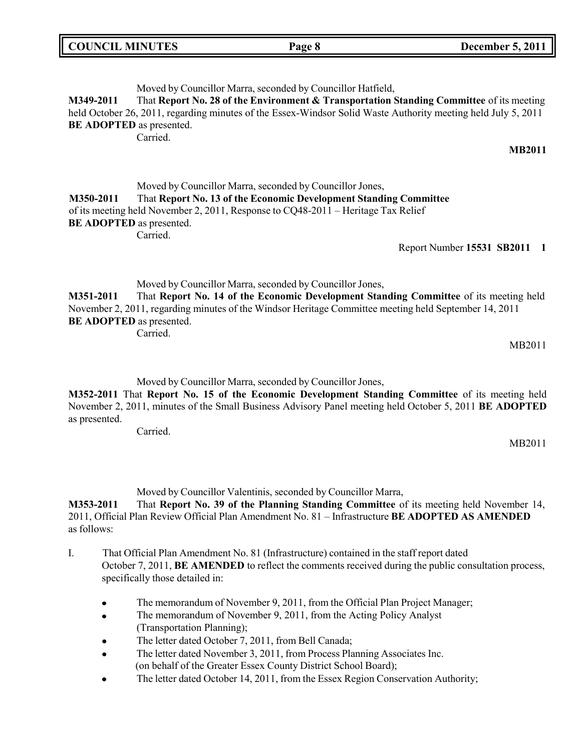| <b>COUNCIL MINUTES</b> | Page 8 | <b>December 5, 2011</b> |
|------------------------|--------|-------------------------|
|                        |        |                         |

Moved by Councillor Marra, seconded by Councillor Hatfield, **M349-2011** That **Report No. 28 of the Environment & Transportation Standing Committee** of its meeting held October 26, 2011, regarding minutes of the Essex-Windsor Solid Waste Authority meeting held July 5, 2011 **BE ADOPTED** as presented. Carried. **MB2011** Moved by Councillor Marra, seconded by Councillor Jones, **M350-2011** That **Report No. 13 of the Economic Development Standing Committee** of its meeting held November 2, 2011, Response to CQ48-2011 – Heritage Tax Relief **BE ADOPTED** as presented. Carried. Report Number **15531 SB2011 1**

Moved by Councillor Marra, seconded by Councillor Jones,

**M351-2011** That **Report No. 14 of the Economic Development Standing Committee** of its meeting held November 2, 2011, regarding minutes of the Windsor Heritage Committee meeting held September 14, 2011 **BE ADOPTED** as presented. Carried.

MB2011

MB2011

Moved by Councillor Marra, seconded by Councillor Jones,

**M352-2011** That **Report No. 15 of the Economic Development Standing Committee** of its meeting held November 2, 2011, minutes of the Small Business Advisory Panel meeting held October 5, 2011 **BE ADOPTED** as presented.

Carried.

Moved by Councillor Valentinis, seconded by Councillor Marra,

**M353-2011** That **Report No. 39 of the Planning Standing Committee** of its meeting held November 14, 2011, Official Plan Review Official Plan Amendment No. 81 – Infrastructure **BE ADOPTED AS AMENDED** as follows:

- I. That Official Plan Amendment No. 81 (Infrastructure) contained in the staff report dated October 7, 2011, **BE AMENDED** to reflect the comments received during the public consultation process, specifically those detailed in:
	- The memorandum of November 9, 2011, from the Official Plan Project Manager;
	- The memorandum of November 9, 2011, from the Acting Policy Analyst  $\bullet$ (Transportation Planning);
	- The letter dated October 7, 2011, from Bell Canada;
	- The letter dated November 3, 2011, from Process Planning Associates Inc. (on behalf of the Greater Essex County District School Board);
	- The letter dated October 14, 2011, from the Essex Region Conservation Authority; $\bullet$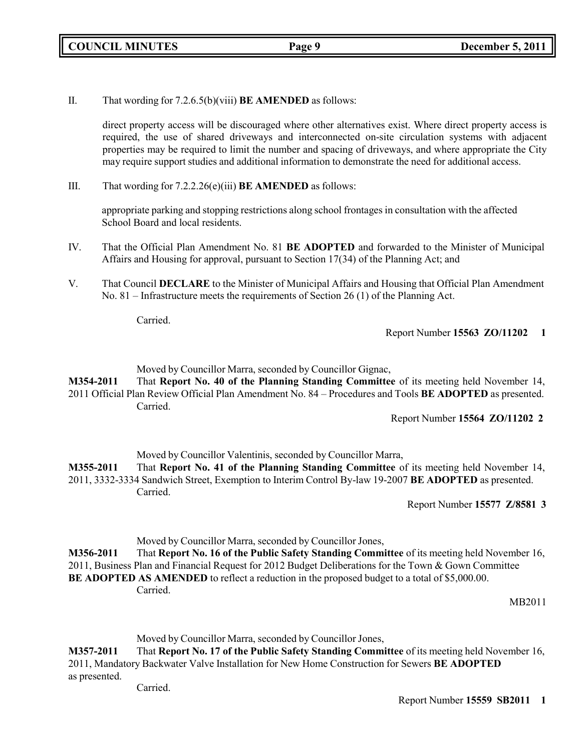**COUNCIL MINUTES Page 9 December 5, 2011**

II. That wording for 7.2.6.5(b)(viii) **BE AMENDED** as follows:

direct property access will be discouraged where other alternatives exist. Where direct property access is required, the use of shared driveways and interconnected on-site circulation systems with adjacent properties may be required to limit the number and spacing of driveways, and where appropriate the City may require support studies and additional information to demonstrate the need for additional access.

III. That wording for 7.2.2.26(e)(iii) **BE AMENDED** as follows:

appropriate parking and stopping restrictions along school frontages in consultation with the affected School Board and local residents.

- IV. That the Official Plan Amendment No. 81 **BE ADOPTED** and forwarded to the Minister of Municipal Affairs and Housing for approval, pursuant to Section 17(34) of the Planning Act; and
- V. That Council **DECLARE** to the Minister of Municipal Affairs and Housing that Official Plan Amendment No. 81 – Infrastructure meets the requirements of Section 26 (1) of the Planning Act.

Carried.

Report Number **15563 ZO/11202 1**

Moved by Councillor Marra, seconded by Councillor Gignac,

**M354-2011** That **Report No. 40 of the Planning Standing Committee** of its meeting held November 14, 2011 Official Plan Review Official Plan Amendment No. 84 – Procedures and Tools **BE ADOPTED** as presented. Carried.

#### Report Number **15564 ZO/11202 2**

Moved by Councillor Valentinis, seconded by Councillor Marra,

**M355-2011** That **Report No. 41 of the Planning Standing Committee** of its meeting held November 14, 2011, 3332-3334 Sandwich Street, Exemption to Interim Control By-law 19-2007 **BE ADOPTED** as presented. Carried.

Report Number **15577 Z/8581 3**

Moved by Councillor Marra, seconded by Councillor Jones,

**M356-2011** That **Report No. 16 of the Public Safety Standing Committee** of its meeting held November 16, 2011, Business Plan and Financial Request for 2012 Budget Deliberations for the Town & Gown Committee **BE ADOPTED AS AMENDED** to reflect a reduction in the proposed budget to a total of \$5,000.00. Carried.

MB2011

Moved by Councillor Marra, seconded by Councillor Jones,

**M357-2011** That **Report No. 17 of the Public Safety Standing Committee** of its meeting held November 16, 2011, Mandatory Backwater Valve Installation for New Home Construction for Sewers **BE ADOPTED** as presented.

Carried.

Report Number **15559 SB2011 1**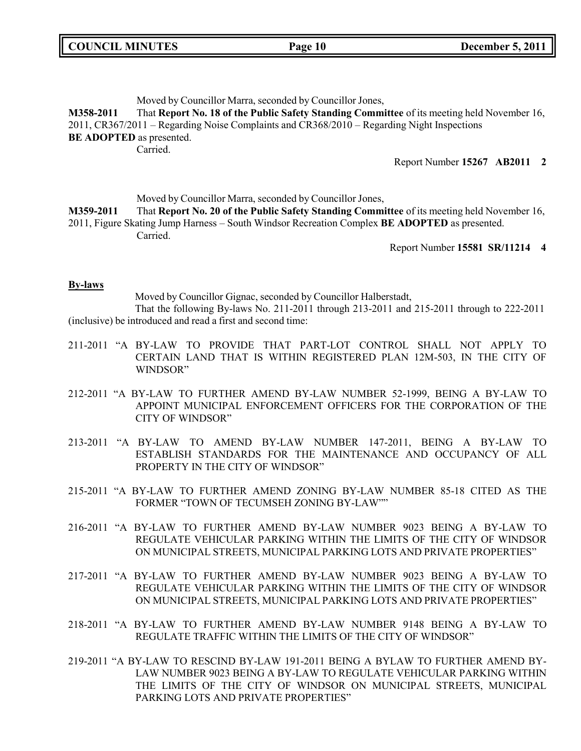|  | <b>COUNCIL MINUTES</b> |
|--|------------------------|
|--|------------------------|

#### Moved by Councillor Marra, seconded by Councillor Jones,

**M358-2011** That **Report No. 18 of the Public Safety Standing Committee** of its meeting held November 16, 2011, CR367/2011 – Regarding Noise Complaints and CR368/2010 – Regarding Night Inspections **BE ADOPTED** as presented. Carried.

Report Number **15267 AB2011 2**

Moved by Councillor Marra, seconded by Councillor Jones,

**M359-2011** That **Report No. 20 of the Public Safety Standing Committee** of its meeting held November 16, 2011, Figure Skating Jump Harness – South Windsor Recreation Complex **BE ADOPTED** as presented. Carried.

Report Number **15581 SR/11214 4**

#### **By-laws**

Moved by Councillor Gignac, seconded by Councillor Halberstadt,

That the following By-laws No. 211-2011 through 213-2011 and 215-2011 through to 222-2011 (inclusive) be introduced and read a first and second time:

- 211-2011 "A BY-LAW TO PROVIDE THAT PART-LOT CONTROL SHALL NOT APPLY TO CERTAIN LAND THAT IS WITHIN REGISTERED PLAN 12M-503, IN THE CITY OF WINDSOR"
- 212-2011 "A BY-LAW TO FURTHER AMEND BY-LAW NUMBER 52-1999, BEING A BY-LAW TO APPOINT MUNICIPAL ENFORCEMENT OFFICERS FOR THE CORPORATION OF THE CITY OF WINDSOR"
- 213-2011 "A BY-LAW TO AMEND BY-LAW NUMBER 147-2011, BEING A BY-LAW TO ESTABLISH STANDARDS FOR THE MAINTENANCE AND OCCUPANCY OF ALL PROPERTY IN THE CITY OF WINDSOR"
- 215-2011 "A BY-LAW TO FURTHER AMEND ZONING BY-LAW NUMBER 85-18 CITED AS THE FORMER "TOWN OF TECUMSEH ZONING BY-LAW""
- 216-2011 "A BY-LAW TO FURTHER AMEND BY-LAW NUMBER 9023 BEING A BY-LAW TO REGULATE VEHICULAR PARKING WITHIN THE LIMITS OF THE CITY OF WINDSOR ON MUNICIPAL STREETS, MUNICIPAL PARKING LOTS AND PRIVATE PROPERTIES"
- 217-2011 "A BY-LAW TO FURTHER AMEND BY-LAW NUMBER 9023 BEING A BY-LAW TO REGULATE VEHICULAR PARKING WITHIN THE LIMITS OF THE CITY OF WINDSOR ON MUNICIPAL STREETS, MUNICIPAL PARKING LOTS AND PRIVATE PROPERTIES"
- 218-2011 "A BY-LAW TO FURTHER AMEND BY-LAW NUMBER 9148 BEING A BY-LAW TO REGULATE TRAFFIC WITHIN THE LIMITS OF THE CITY OF WINDSOR"
- 219-2011 "A BY-LAW TO RESCIND BY-LAW 191-2011 BEING A BYLAW TO FURTHER AMEND BY-LAW NUMBER 9023 BEING A BY-LAW TO REGULATE VEHICULAR PARKING WITHIN THE LIMITS OF THE CITY OF WINDSOR ON MUNICIPAL STREETS, MUNICIPAL PARKING LOTS AND PRIVATE PROPERTIES"

**COUNCIL EXECUTE: COUNCIL EXECUTE: COUNCIL EXECUTE: COUNCIL EXECUTE: COUNCIL EXECUTE: COUNCIL**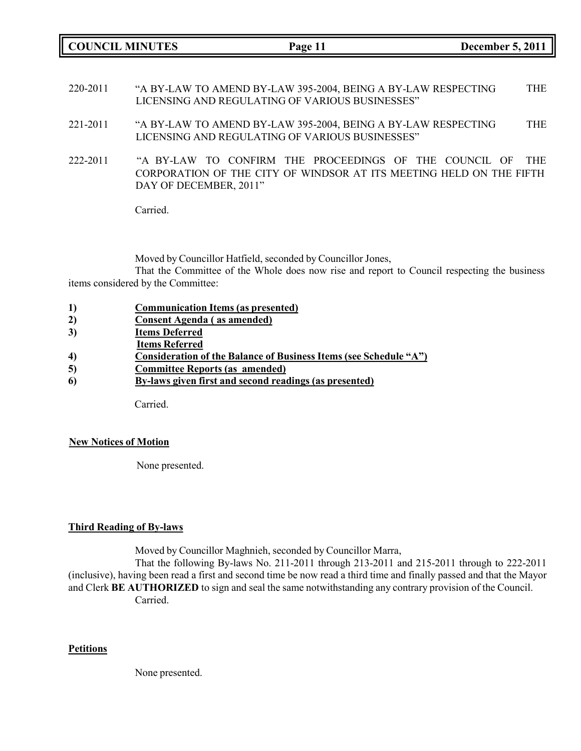**COUNCIL MINUTES Page 11 December 5, 2011**

- 220-2011 "A BY-LAW TO AMEND BY-LAW 395-2004, BEING A BY-LAW RESPECTING LICENSING AND REGULATING OF VARIOUS BUSINESSES" THE
- 221-2011 "A BY-LAW TO AMEND BY-LAW 395-2004, BEING A BY-LAW RESPECTING LICENSING AND REGULATING OF VARIOUS BUSINESSES" THE
- 222-2011 "A BY-LAW TO CONFIRM THE PROCEEDINGS OF THE COUNCIL OF THE CORPORATION OF THE CITY OF WINDSOR AT ITS MEETING HELD ON THE FIFTH DAY OF DECEMBER, 2011"

Carried.

Moved by Councillor Hatfield, seconded by Councillor Jones,

That the Committee of the Whole does now rise and report to Council respecting the business items considered by the Committee:

- **1) Communication Items (as presented)**
- **2) Consent Agenda ( as amended)**
- **3) Items Deferred**
- **Items Referred**
- **4) Consideration of the Balance of Business Items (see Schedule "A")**
- **5) Committee Reports (as amended)**
- **6) By-laws given first and second readings (as presented)**

Carried.

#### **New Notices of Motion**

None presented.

### **Third Reading of By-laws**

Moved by Councillor Maghnieh, seconded by Councillor Marra,

That the following By-laws No. 211-2011 through 213-2011 and 215-2011 through to 222-2011 (inclusive), having been read a first and second time be now read a third time and finally passed and that the Mayor and Clerk **BE AUTHORIZED** to sign and seal the same notwithstanding any contrary provision of the Council. Carried.

#### **Petitions**

None presented.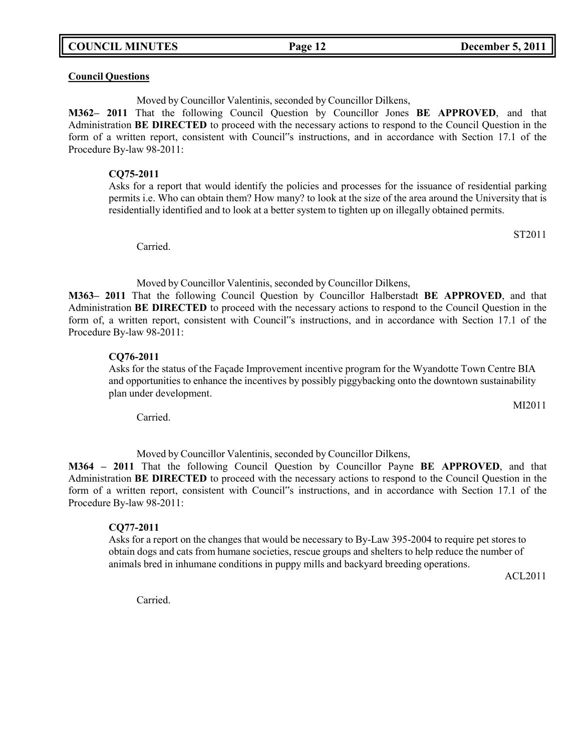**COUNCIL MINUTES Page 12 December 5, 2011**

#### **Council Questions**

Moved by Councillor Valentinis, seconded by Councillor Dilkens,

**M362– 2011** That the following Council Question by Councillor Jones **BE APPROVED**, and that Administration **BE DIRECTED** to proceed with the necessary actions to respond to the Council Question in the form of a written report, consistent with Council"s instructions, and in accordance with Section 17.1 of the Procedure By-law 98-2011:

#### **CQ75-2011**

Asks for a report that would identify the policies and processes for the issuance of residential parking permits i.e. Who can obtain them? How many? to look at the size of the area around the University that is residentially identified and to look at a better system to tighten up on illegally obtained permits.

Carried.

Moved by Councillor Valentinis, seconded by Councillor Dilkens,

**M363– 2011** That the following Council Question by Councillor Halberstadt **BE APPROVED**, and that Administration **BE DIRECTED** to proceed with the necessary actions to respond to the Council Question in the form of, a written report, consistent with Council"s instructions, and in accordance with Section 17.1 of the Procedure By-law 98-2011:

#### **CQ76-2011**

Asks for the status of the Façade Improvement incentive program for the Wyandotte Town Centre BIA and opportunities to enhance the incentives by possibly piggybacking onto the downtown sustainability plan under development.

Carried.

Moved by Councillor Valentinis, seconded by Councillor Dilkens,

**M364 – 2011** That the following Council Question by Councillor Payne **BE APPROVED**, and that Administration **BE DIRECTED** to proceed with the necessary actions to respond to the Council Question in the form of a written report, consistent with Council"s instructions, and in accordance with Section 17.1 of the Procedure By-law 98-2011:

#### **CQ77-2011**

Asks for a report on the changes that would be necessary to By-Law 395-2004 to require pet stores to obtain dogs and cats from humane societies, rescue groups and shelters to help reduce the number of animals bred in inhumane conditions in puppy mills and backyard breeding operations.

ACL2011

Carried.

ST2011

MI2011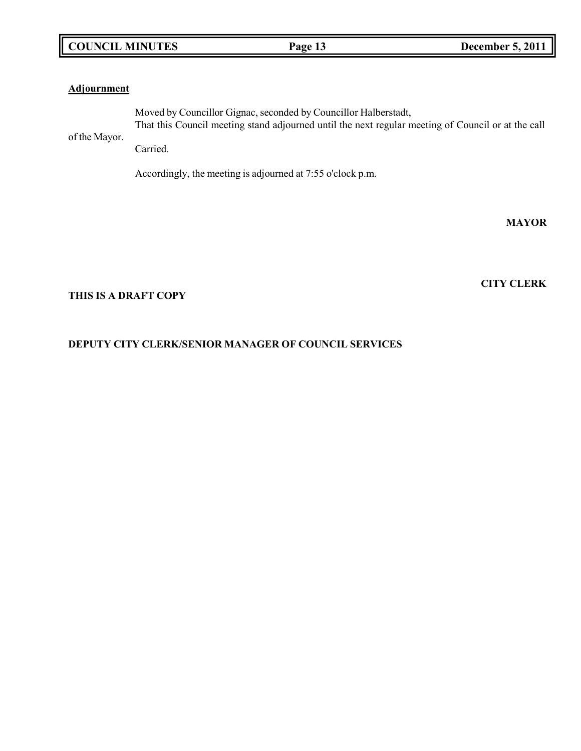## **COUNCIL MINUTES Page 13 December 5, 2011**

### **Adjournment**

of the Mayor. Moved by Councillor Gignac, seconded by Councillor Halberstadt, That this Council meeting stand adjourned until the next regular meeting of Council or at the call

Carried.

Accordingly, the meeting is adjourned at 7:55 o'clock p.m.

**MAYOR**

**CITY CLERK**

### **THIS IS A DRAFT COPY**

## **DEPUTY CITY CLERK/SENIOR MANAGER OF COUNCIL SERVICES**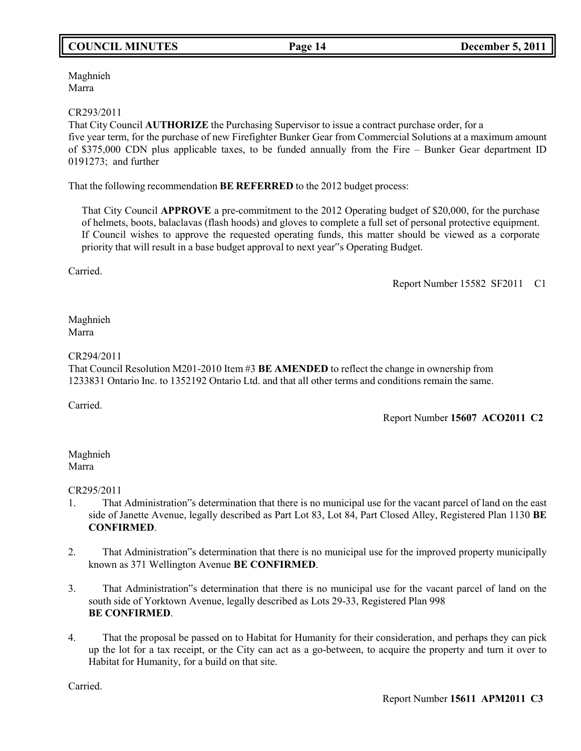## **COUNCIL MINUTES Page 14 December 5, 2011**

Maghnieh Marra

### CR293/2011

That City Council **AUTHORIZE** the Purchasing Supervisor to issue a contract purchase order, for a five year term, for the purchase of new Firefighter Bunker Gear from Commercial Solutions at a maximum amount of \$375,000 CDN plus applicable taxes, to be funded annually from the Fire – Bunker Gear department ID 0191273; and further

That the following recommendation **BE REFERRED** to the 2012 budget process:

That City Council **APPROVE** a pre-commitment to the 2012 Operating budget of \$20,000, for the purchase of helmets, boots, balaclavas (flash hoods) and gloves to complete a full set of personal protective equipment. If Council wishes to approve the requested operating funds, this matter should be viewed as a corporate priority that will result in a base budget approval to next year"s Operating Budget.

Carried.

Report Number 15582 SF2011 C1

Maghnieh Marra

#### CR294/2011

That Council Resolution M201-2010 Item #3 **BE AMENDED** to reflect the change in ownership from 1233831 Ontario Inc. to 1352192 Ontario Ltd. and that all other terms and conditions remain the same.

Carried.

Report Number **15607 ACO2011 C2**

Maghnieh Marra

CR295/2011

- 1. That Administration"s determination that there is no municipal use for the vacant parcel of land on the east side of Janette Avenue, legally described as Part Lot 83, Lot 84, Part Closed Alley, Registered Plan 1130 **BE CONFIRMED**.
- 2. That Administration"s determination that there is no municipal use for the improved property municipally known as 371 Wellington Avenue **BE CONFIRMED**.
- 3. That Administration"s determination that there is no municipal use for the vacant parcel of land on the south side of Yorktown Avenue, legally described as Lots 29-33, Registered Plan 998 **BE CONFIRMED**.
- 4. That the proposal be passed on to Habitat for Humanity for their consideration, and perhaps they can pick up the lot for a tax receipt, or the City can act as a go-between, to acquire the property and turn it over to Habitat for Humanity, for a build on that site.

Carried.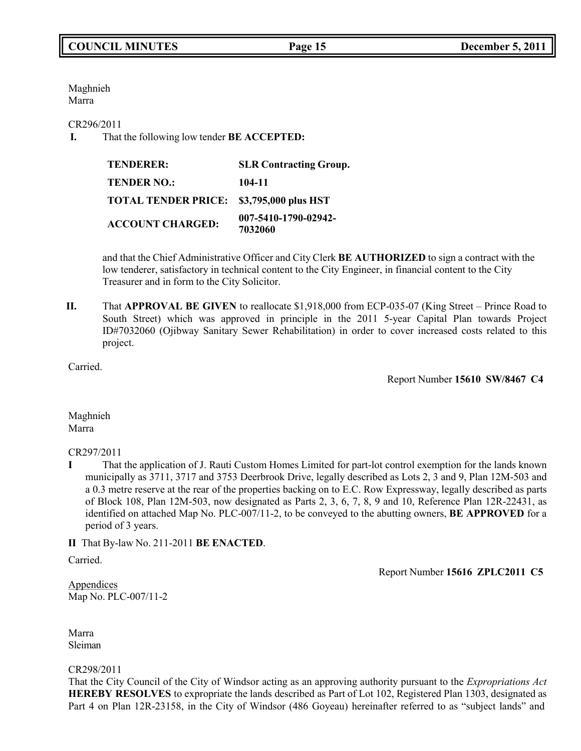Maghnieh Marra

CR296/2011

**I.** That the following low tender **BE ACCEPTED:**

| <b>TENDERER:</b>           | <b>SLR Contracting Group.</b>   |
|----------------------------|---------------------------------|
| <b>TENDER NO.:</b>         | 104-11                          |
| <b>TOTAL TENDER PRICE:</b> | \$3,795,000 plus HST            |
| <b>ACCOUNT CHARGED:</b>    | 007-5410-1790-02942-<br>7032060 |

and that the Chief Administrative Officer and City Clerk **BE AUTHORIZED** to sign a contract with the low tenderer, satisfactory in technical content to the City Engineer, in financial content to the City Treasurer and in form to the City Solicitor.

**II.** That **APPROVAL BE GIVEN** to reallocate \$1,918,000 from ECP-035-07 (King Street – Prince Road to South Street) which was approved in principle in the 2011 5-year Capital Plan towards Project ID#7032060 (Ojibway Sanitary Sewer Rehabilitation) in order to cover increased costs related to this project.

Carried.

Report Number **15610 SW/8467 C4**

Maghnieh Marra

CR297/2011

**I** That the application of J. Rauti Custom Homes Limited for part-lot control exemption for the lands known municipally as 3711, 3717 and 3753 Deerbrook Drive, legally described as Lots 2, 3 and 9, Plan 12M-503 and a 0.3 metre reserve at the rear of the properties backing on to E.C. Row Expressway, legally described as parts of Block 108, Plan 12M-503, now designated as Parts 2, 3, 6, 7, 8, 9 and 10, Reference Plan 12R-22431, as identified on attached Map No. PLC-007/11-2, to be conveyed to the abutting owners, **BE APPROVED** for a period of 3 years.

**II** That By-law No. 211-2011 **BE ENACTED**.

Carried.

Report Number **15616 ZPLC2011 C5**

Appendices Map No. PLC-007/11-2

Marra Sleiman

CR298/2011

That the City Council of the City of Windsor acting as an approving authority pursuant to the *Expropriations Act* **HEREBY RESOLVES** to expropriate the lands described as Part of Lot 102, Registered Plan 1303, designated as Part 4 on Plan 12R-23158, in the City of Windsor (486 Goyeau) hereinafter referred to as "subject lands" and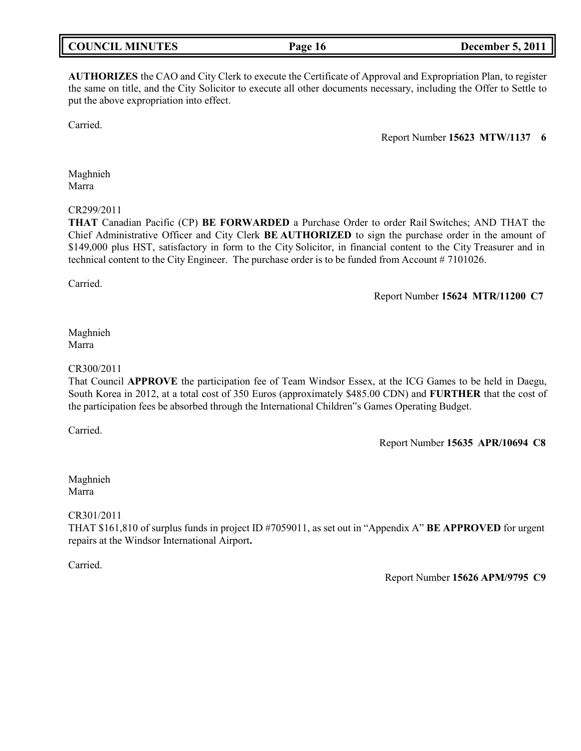|--|

**AUTHORIZES** the CAO and City Clerk to execute the Certificate of Approval and Expropriation Plan, to register the same on title, and the City Solicitor to execute all other documents necessary, including the Offer to Settle to put the above expropriation into effect.

Carried.

Report Number **15623 MTW/1137 6**

Maghnieh Marra

#### CR299/2011

**THAT** Canadian Pacific (CP) **BE FORWARDED** a Purchase Order to order Rail Switches; AND THAT the Chief Administrative Officer and City Clerk **BE AUTHORIZED** to sign the purchase order in the amount of \$149,000 plus HST, satisfactory in form to the City Solicitor, in financial content to the City Treasurer and in technical content to the City Engineer. The purchase order is to be funded from Account # 7101026.

Carried.

Report Number **15624 MTR/11200 C7**

### Maghnieh Marra

### CR300/2011

That Council **APPROVE** the participation fee of Team Windsor Essex, at the ICG Games to be held in Daegu, South Korea in 2012, at a total cost of 350 Euros (approximately \$485.00 CDN) and **FURTHER** that the cost of the participation fees be absorbed through the International Children"s Games Operating Budget.

Carried.

Report Number **15635 APR/10694 C8**

Maghnieh Marra

CR301/2011

THAT \$161,810 of surplus funds in project ID #7059011, as set out in "Appendix A" **BE APPROVED** for urgent repairs at the Windsor International Airport**.**

Carried.

Report Number **15626 APM/9795 C9**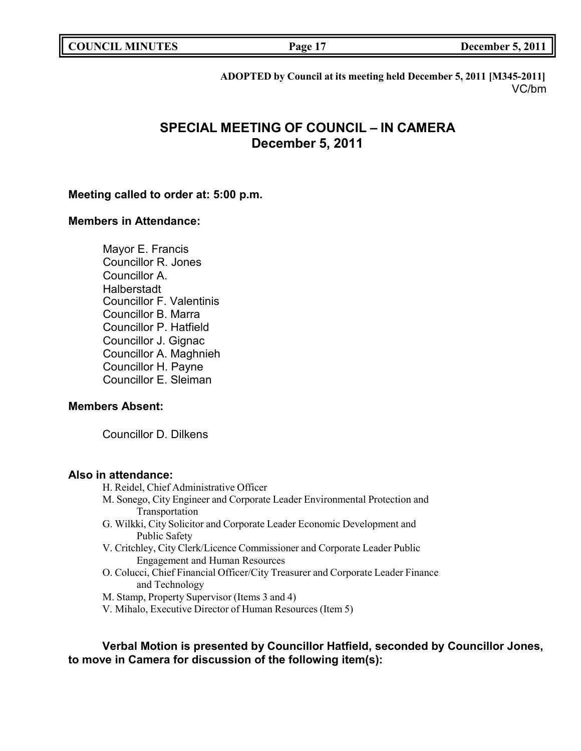**COUNCIL EXECUTE: COUNCIL EXECUTE: COUNCIL EXECUTE: COUNCIL EXECUTE: COUNCIL EXECUTE: COUNCIL EXECUTE: COUNCIL** 

**ADOPTED by Council at its meeting held December 5, 2011 [M345-2011]** VC/bm

## **SPECIAL MEETING OF COUNCIL – IN CAMERA December 5, 2011**

### **Meeting called to order at: 5:00 p.m.**

### **Members in Attendance:**

Mayor E. Francis Councillor R. Jones Councillor A. Halberstadt Councillor F. Valentinis Councillor B. Marra Councillor P. Hatfield Councillor J. Gignac Councillor A. Maghnieh Councillor H. Payne Councillor E. Sleiman

### **Members Absent:**

Councillor D. Dilkens

### **Also in attendance:**

- H. Reidel, Chief Administrative Officer
- M. Sonego, City Engineer and Corporate Leader Environmental Protection and Transportation
- G. Wilkki, City Solicitor and Corporate Leader Economic Development and Public Safety
- V. Critchley, City Clerk/Licence Commissioner and Corporate Leader Public Engagement and Human Resources
- O. Colucci, Chief Financial Officer/City Treasurer and Corporate Leader Finance and Technology
- M. Stamp, Property Supervisor (Items 3 and 4)
- V. Mihalo, Executive Director of Human Resources (Item 5)

**Verbal Motion is presented by Councillor Hatfield, seconded by Councillor Jones, to move in Camera for discussion of the following item(s):**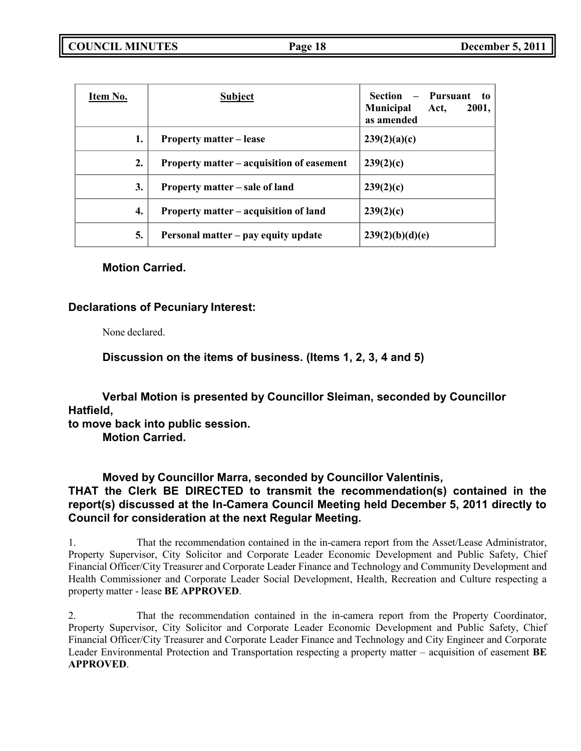| Item No. | <b>Subject</b>                            | Pursuant<br>Section<br>$-$<br>to.<br><b>Municipal</b><br>2001,<br>Act,<br>as amended |
|----------|-------------------------------------------|--------------------------------------------------------------------------------------|
| 1.       | <b>Property matter – lease</b>            | 239(2)(a)(c)                                                                         |
| 2.       | Property matter – acquisition of easement | 239(2)(c)                                                                            |
| 3.       | Property matter – sale of land            | 239(2)(c)                                                                            |
| 4.       | Property matter – acquisition of land     | 239(2)(c)                                                                            |
| 5.       | Personal matter – pay equity update       | 239(2)(b)(d)(e)                                                                      |

## **Motion Carried.**

## **Declarations of Pecuniary Interest:**

None declared.

**Discussion on the items of business. (Items 1, 2, 3, 4 and 5)**

**Verbal Motion is presented by Councillor Sleiman, seconded by Councillor Hatfield,**

**to move back into public session.**

**Motion Carried.**

**Moved by Councillor Marra, seconded by Councillor Valentinis, THAT the Clerk BE DIRECTED to transmit the recommendation(s) contained in the report(s) discussed at the In-Camera Council Meeting held December 5, 2011 directly to Council for consideration at the next Regular Meeting.**

1. That the recommendation contained in the in-camera report from the Asset/Lease Administrator, Property Supervisor, City Solicitor and Corporate Leader Economic Development and Public Safety, Chief Financial Officer/City Treasurer and Corporate Leader Finance and Technology and Community Development and Health Commissioner and Corporate Leader Social Development, Health, Recreation and Culture respecting a property matter - lease **BE APPROVED**.

2. That the recommendation contained in the in-camera report from the Property Coordinator, Property Supervisor, City Solicitor and Corporate Leader Economic Development and Public Safety, Chief Financial Officer/City Treasurer and Corporate Leader Finance and Technology and City Engineer and Corporate Leader Environmental Protection and Transportation respecting a property matter – acquisition of easement **BE APPROVED**.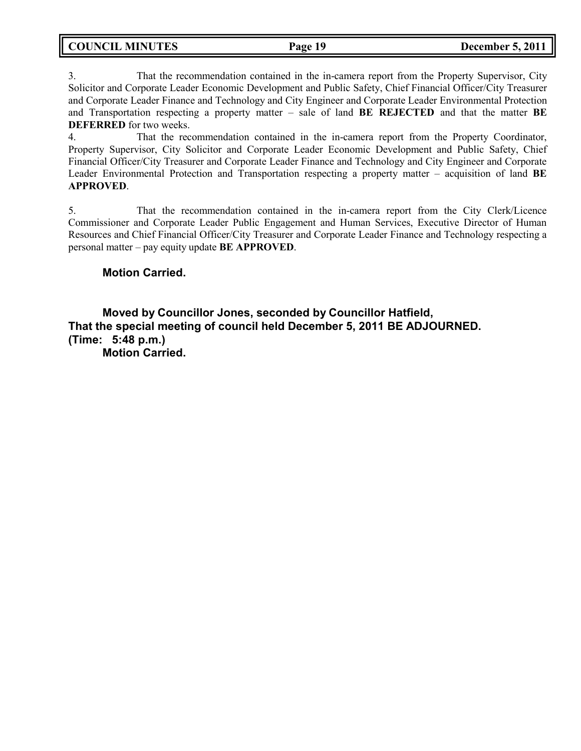3. That the recommendation contained in the in-camera report from the Property Supervisor, City Solicitor and Corporate Leader Economic Development and Public Safety, Chief Financial Officer/City Treasurer and Corporate Leader Finance and Technology and City Engineer and Corporate Leader Environmental Protection and Transportation respecting a property matter – sale of land **BE REJECTED** and that the matter **BE DEFERRED** for two weeks.

4. That the recommendation contained in the in-camera report from the Property Coordinator, Property Supervisor, City Solicitor and Corporate Leader Economic Development and Public Safety, Chief Financial Officer/City Treasurer and Corporate Leader Finance and Technology and City Engineer and Corporate Leader Environmental Protection and Transportation respecting a property matter – acquisition of land **BE APPROVED**.

5. That the recommendation contained in the in-camera report from the City Clerk/Licence Commissioner and Corporate Leader Public Engagement and Human Services, Executive Director of Human Resources and Chief Financial Officer/City Treasurer and Corporate Leader Finance and Technology respecting a personal matter – pay equity update **BE APPROVED**.

## **Motion Carried.**

**Moved by Councillor Jones, seconded by Councillor Hatfield, That the special meeting of council held December 5, 2011 BE ADJOURNED. (Time: 5:48 p.m.) Motion Carried.**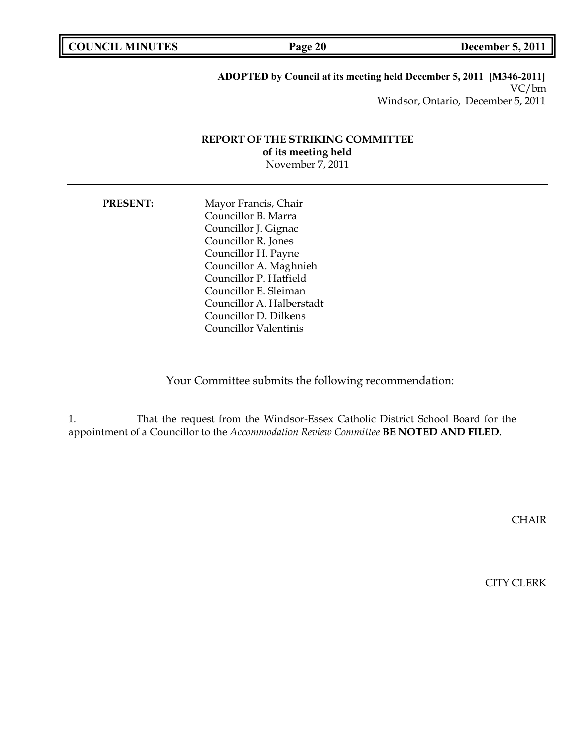**COUNCIL MINUTES Page 20 December 5, 2011**

### **ADOPTED by Council at its meeting held December 5, 2011 [M346-2011]** VC/bm Windsor, Ontario, December 5, 2011

### **REPORT OF THE STRIKING COMMITTEE of its meeting held** November 7, 2011

**PRESENT:** Mayor Francis, Chair Councillor B. Marra Councillor J. Gignac Councillor R. Jones Councillor H. Payne Councillor A. Maghnieh Councillor P. Hatfield Councillor E. Sleiman Councillor A. Halberstadt Councillor D. Dilkens Councillor Valentinis

Your Committee submits the following recommendation:

1. That the request from the Windsor-Essex Catholic District School Board for the appointment of a Councillor to the *Accommodation Review Committee* **BE NOTED AND FILED**.

CHAIR

CITY CLERK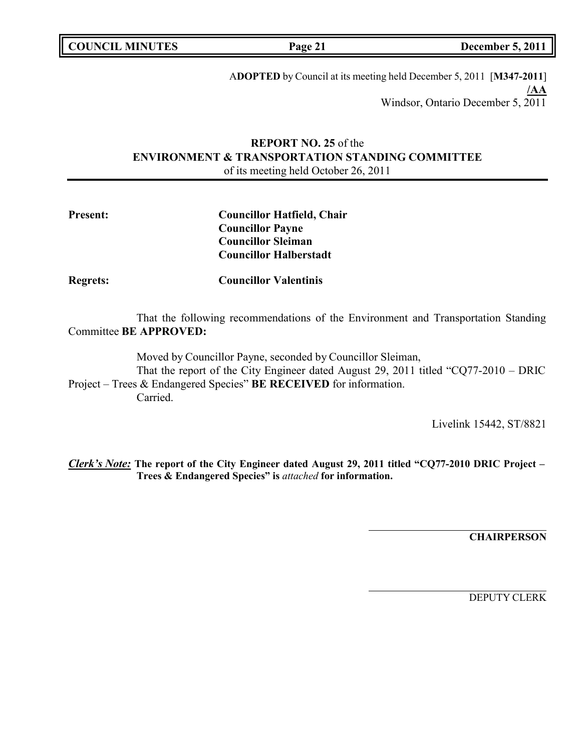**COUNCIL MINUTES Page 21 December 5, 2011**

A**DOPTED** by Council at its meeting held December 5, 2011 [**M347-2011**] **/AA** Windsor, Ontario December 5, 2011

## **REPORT NO. 25** of the **ENVIRONMENT & TRANSPORTATION STANDING COMMITTEE** of its meeting held October 26, 2011

| <b>Present:</b> | <b>Councillor Hatfield, Chair</b> |  |
|-----------------|-----------------------------------|--|
|                 | <b>Councillor Payne</b>           |  |
|                 | <b>Councillor Sleiman</b>         |  |
|                 | <b>Councillor Halberstadt</b>     |  |
| <b>Regrets:</b> | <b>Councillor Valentinis</b>      |  |

That the following recommendations of the Environment and Transportation Standing Committee **BE APPROVED:**

Moved by Councillor Payne, seconded by Councillor Sleiman,

That the report of the City Engineer dated August 29, 2011 titled "CQ77-2010 – DRIC Project – Trees & Endangered Species" **BE RECEIVED** for information. Carried.

Livelink 15442, ST/8821

*Clerk's Note:* **The report of the City Engineer dated August 29, 2011 titled "CQ77-2010 DRIC Project – Trees & Endangered Species" is** *attached* **for information.**

**CHAIRPERSON**

DEPUTY CLERK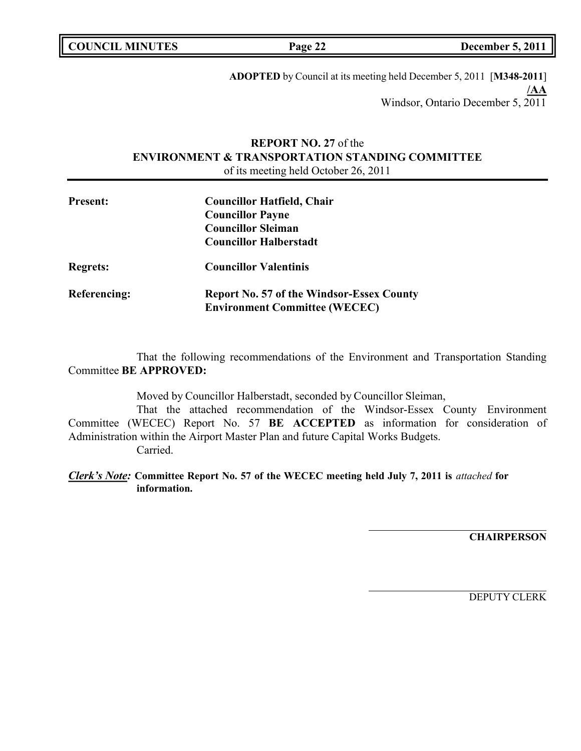**ADOPTED** by Council at its meeting held December 5, 2011 [**M348-2011**] **/AA** Windsor, Ontario December 5, 2011

## **REPORT NO. 27** of the **ENVIRONMENT & TRANSPORTATION STANDING COMMITTEE** of its meeting held October 26, 2011

| <b>Present:</b> | <b>Councillor Hatfield, Chair</b><br><b>Councillor Payne</b>                             |  |
|-----------------|------------------------------------------------------------------------------------------|--|
|                 | <b>Councillor Sleiman</b><br><b>Councillor Halberstadt</b>                               |  |
| <b>Regrets:</b> | <b>Councillor Valentinis</b>                                                             |  |
| Referencing:    | <b>Report No. 57 of the Windsor-Essex County</b><br><b>Environment Committee (WECEC)</b> |  |

That the following recommendations of the Environment and Transportation Standing Committee **BE APPROVED:**

Moved by Councillor Halberstadt, seconded by Councillor Sleiman,

That the attached recommendation of the Windsor-Essex County Environment Committee (WECEC) Report No. 57 **BE ACCEPTED** as information for consideration of Administration within the Airport Master Plan and future Capital Works Budgets. Carried.

*Clerk's Note:* **Committee Report No. 57 of the WECEC meeting held July 7, 2011 is** *attached* **for information.**

**CHAIRPERSON**

DEPUTY CLERK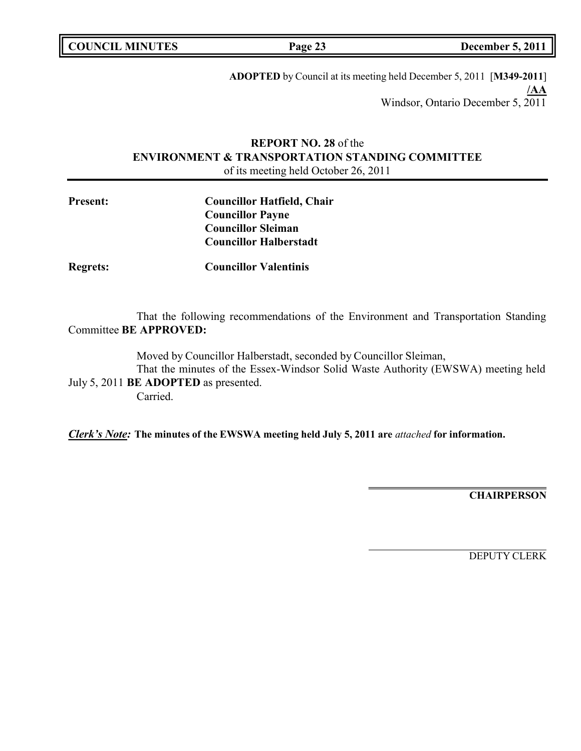| <b>COUNCIL MINUTES</b> |  |
|------------------------|--|
|------------------------|--|

**COUNCIL MINUTES Page 23 December 5, 2011**

**ADOPTED** by Council at its meeting held December 5, 2011 [**M349-2011**] **/AA** Windsor, Ontario December 5, 2011

## **REPORT NO. 28** of the **ENVIRONMENT & TRANSPORTATION STANDING COMMITTEE** of its meeting held October 26, 2011

| <b>Present:</b> | <b>Councillor Hatfield, Chair</b> |
|-----------------|-----------------------------------|
|                 | <b>Councillor Payne</b>           |
|                 | <b>Councillor Sleiman</b>         |
|                 | <b>Councillor Halberstadt</b>     |
|                 |                                   |

**Regrets: Councillor Valentinis**

That the following recommendations of the Environment and Transportation Standing Committee **BE APPROVED:**

Moved by Councillor Halberstadt, seconded by Councillor Sleiman,

That the minutes of the Essex-Windsor Solid Waste Authority (EWSWA) meeting held July 5, 2011 **BE ADOPTED** as presented.

Carried.

*Clerk's Note:* **The minutes of the EWSWA meeting held July 5, 2011 are** *attached* **for information.**

**CHAIRPERSON**

DEPUTY CLERK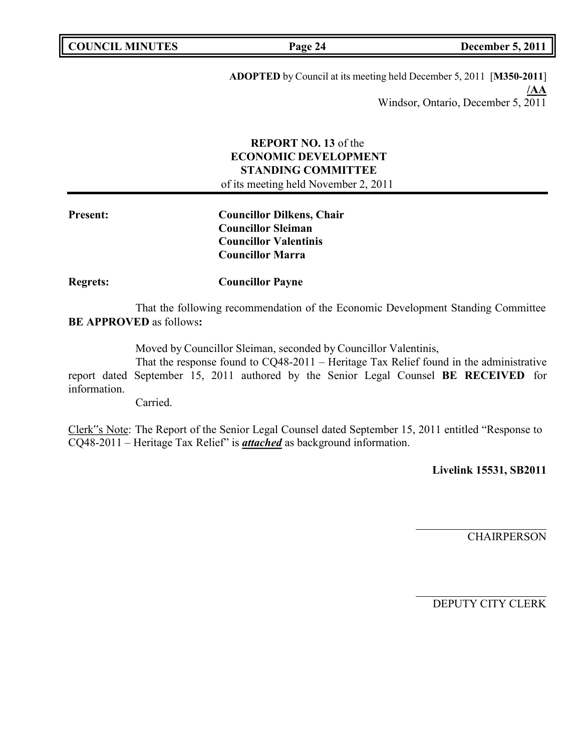| <b>COUNCIL MINUTES</b> |  |
|------------------------|--|
|------------------------|--|

**COUNCIL MINUTES Page 24 December 5, 2011**

**ADOPTED** by Council at its meeting held December 5, 2011 [**M350-2011**] **/AA** Windsor, Ontario, December 5, 2011

## **REPORT NO. 13** of the **ECONOMIC DEVELOPMENT STANDING COMMITTEE** of its meeting held November 2, 2011

**Present: Councillor Dilkens, Chair Councillor Sleiman Councillor Valentinis Councillor Marra**

**Regrets: Councillor Payne**

That the following recommendation of the Economic Development Standing Committee **BE APPROVED** as follows**:**

Moved by Councillor Sleiman, seconded by Councillor Valentinis,

That the response found to CQ48-2011 – Heritage Tax Relief found in the administrative report dated September 15, 2011 authored by the Senior Legal Counsel **BE RECEIVED** for information.

Carried.

Clerk"s Note: The Report of the Senior Legal Counsel dated September 15, 2011 entitled "Response to CQ48-2011 – Heritage Tax Relief" is *attached* as background information.

**Livelink 15531, SB2011**

CHAIRPERSON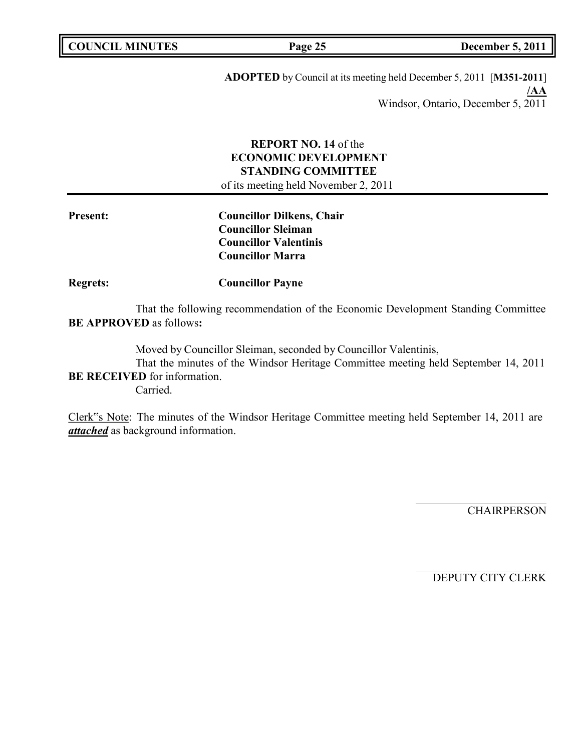| <b>COUNCIL MINUTES</b> |  |
|------------------------|--|
|------------------------|--|

**COUNCIL MINUTES Page 25 December 5, 2011**

**ADOPTED** by Council at its meeting held December 5, 2011 [**M351-2011**] **/AA** Windsor, Ontario, December 5, 2011

## **REPORT NO. 14** of the **ECONOMIC DEVELOPMENT STANDING COMMITTEE**

of its meeting held November 2, 2011

**Present: Councillor Dilkens, Chair Councillor Sleiman Councillor Valentinis Councillor Marra**

**Regrets: Councillor Payne**

That the following recommendation of the Economic Development Standing Committee **BE APPROVED** as follows**:**

Moved by Councillor Sleiman, seconded by Councillor Valentinis,

That the minutes of the Windsor Heritage Committee meeting held September 14, 2011 **BE RECEIVED** for information.

Carried.

Clerk"s Note: The minutes of the Windsor Heritage Committee meeting held September 14, 2011 are *attached* as background information.

**CHAIRPERSON**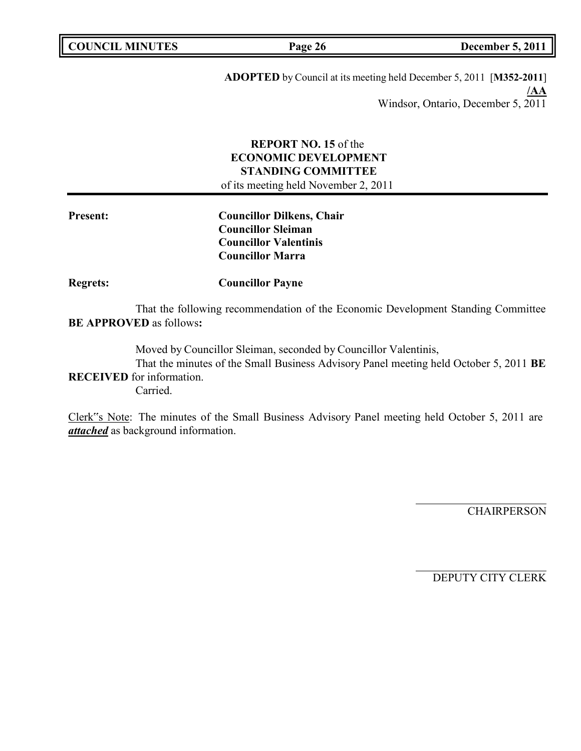| <b>COUNCIL MINUTES</b> |  |
|------------------------|--|
|------------------------|--|

**COUNCIL MINUTES Page 26 December 5, 2011**

**ADOPTED** by Council at its meeting held December 5, 2011 [**M352-2011**] **/AA** Windsor, Ontario, December 5, 2011

## **REPORT NO. 15** of the **ECONOMIC DEVELOPMENT STANDING COMMITTEE**

of its meeting held November 2, 2011

**Present: Councillor Dilkens, Chair Councillor Sleiman Councillor Valentinis Councillor Marra**

**Regrets: Councillor Payne**

That the following recommendation of the Economic Development Standing Committee **BE APPROVED** as follows**:**

Moved by Councillor Sleiman, seconded by Councillor Valentinis,

That the minutes of the Small Business Advisory Panel meeting held October 5, 2011 **BE RECEIVED** for information.

Carried.

Clerk"s Note: The minutes of the Small Business Advisory Panel meeting held October 5, 2011 are *attached* as background information.

**CHAIRPERSON**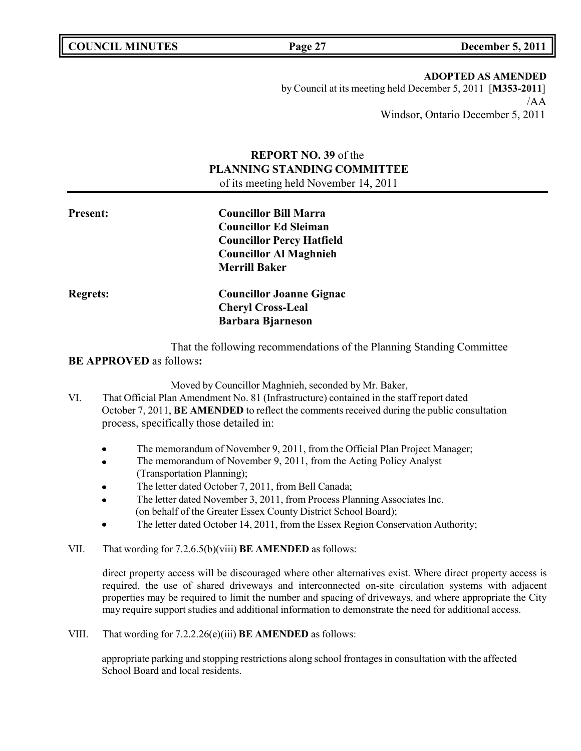**ADOPTED AS AMENDED** by Council at its meeting held December 5, 2011 [**M353-2011**] /AA Windsor, Ontario December 5, 2011

## **REPORT NO. 39** of the **PLANNING STANDING COMMITTEE** of its meeting held November 14, 2011

| <b>Present:</b> | <b>Councillor Bill Marra</b>     |  |
|-----------------|----------------------------------|--|
|                 | <b>Councillor Ed Sleiman</b>     |  |
|                 | <b>Councillor Percy Hatfield</b> |  |
|                 | <b>Councillor Al Maghnieh</b>    |  |
|                 | <b>Merrill Baker</b>             |  |
| <b>Regrets:</b> | <b>Councillor Joanne Gignac</b>  |  |
|                 | <b>Cheryl Cross-Leal</b>         |  |
|                 | <b>Barbara Bjarneson</b>         |  |
|                 |                                  |  |

That the following recommendations of the Planning Standing Committee

### **BE APPROVED** as follows**:**

Moved by Councillor Maghnieh, seconded by Mr. Baker,

- VI. That Official Plan Amendment No. 81 (Infrastructure) contained in the staff report dated October 7, 2011, **BE AMENDED** to reflect the comments received during the public consultation process, specifically those detailed in:
	- The memorandum of November 9, 2011, from the Official Plan Project Manager;  $\bullet$
	- The memorandum of November 9, 2011, from the Acting Policy Analyst  $\bullet$ (Transportation Planning);
	- The letter dated October 7, 2011, from Bell Canada;
	- The letter dated November 3, 2011, from Process Planning Associates Inc.  $\bullet$ (on behalf of the Greater Essex County District School Board);
	- The letter dated October 14, 2011, from the Essex Region Conservation Authority;
- VII. That wording for 7.2.6.5(b)(viii) **BE AMENDED** as follows:

direct property access will be discouraged where other alternatives exist. Where direct property access is required, the use of shared driveways and interconnected on-site circulation systems with adjacent properties may be required to limit the number and spacing of driveways, and where appropriate the City may require support studies and additional information to demonstrate the need for additional access.

VIII. That wording for 7.2.2.26(e)(iii) **BE AMENDED** as follows:

appropriate parking and stopping restrictions along school frontages in consultation with the affected School Board and local residents.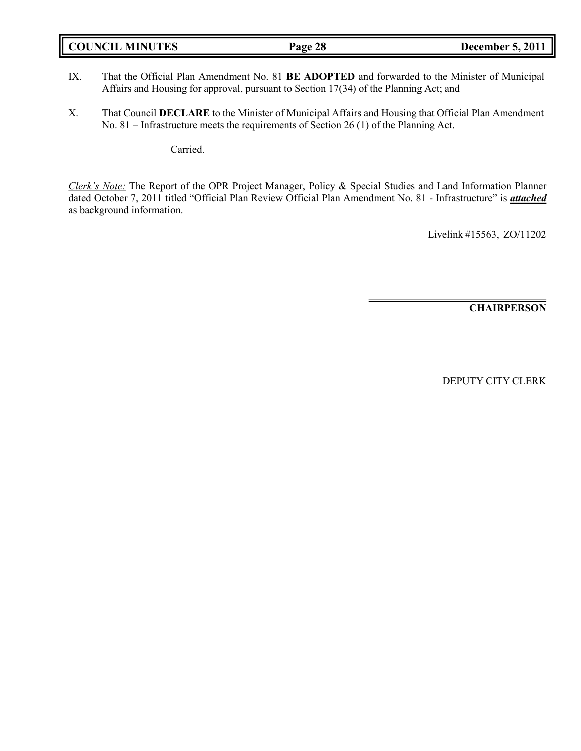| <b>COUNCIL MINUTES</b> | Page 28 | <b>December 5, 2011</b> |
|------------------------|---------|-------------------------|
|------------------------|---------|-------------------------|

- IX. That the Official Plan Amendment No. 81 **BE ADOPTED** and forwarded to the Minister of Municipal Affairs and Housing for approval, pursuant to Section 17(34) of the Planning Act; and
- X. That Council **DECLARE** to the Minister of Municipal Affairs and Housing that Official Plan Amendment No. 81 – Infrastructure meets the requirements of Section 26 (1) of the Planning Act.

Carried.

*Clerk's Note:* The Report of the OPR Project Manager, Policy & Special Studies and Land Information Planner dated October 7, 2011 titled "Official Plan Review Official Plan Amendment No. 81 - Infrastructure" is *attached* as background information.

Livelink #15563, ZO/11202

**CHAIRPERSON**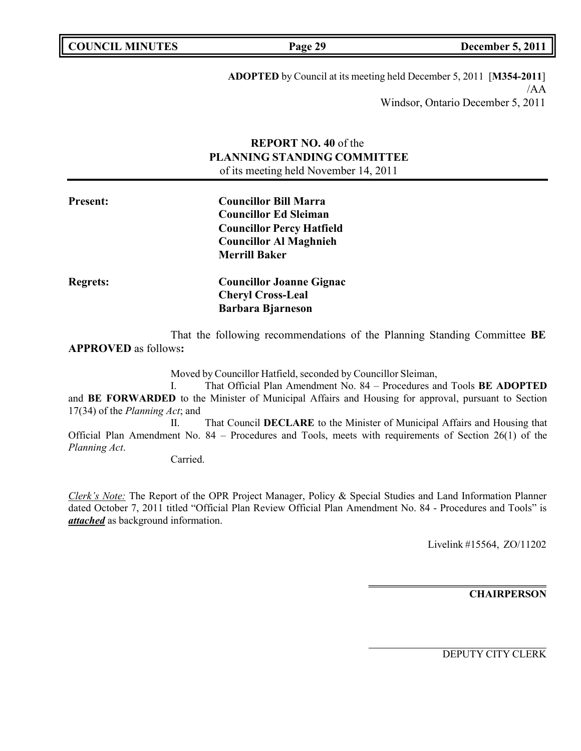**ADOPTED** by Council at its meeting held December 5, 2011 [**M354-2011**] /AA Windsor, Ontario December 5, 2011

## **REPORT NO. 40** of the **PLANNING STANDING COMMITTEE** of its meeting held November 14, 2011

**Present: Councillor Bill Marra Councillor Ed Sleiman Councillor Percy Hatfield Councillor Al Maghnieh Merrill Baker Regrets: Councillor Joanne Gignac Cheryl Cross-Leal Barbara Bjarneson**

That the following recommendations of the Planning Standing Committee **BE APPROVED** as follows**:**

Moved by Councillor Hatfield, seconded by Councillor Sleiman,

I. That Official Plan Amendment No. 84 – Procedures and Tools **BE ADOPTED** and **BE FORWARDED** to the Minister of Municipal Affairs and Housing for approval, pursuant to Section 17(34) of the *Planning Act*; and

II. That Council **DECLARE** to the Minister of Municipal Affairs and Housing that Official Plan Amendment No. 84 – Procedures and Tools, meets with requirements of Section 26(1) of the *Planning Act*.

Carried.

*Clerk's Note:* The Report of the OPR Project Manager, Policy & Special Studies and Land Information Planner dated October 7, 2011 titled "Official Plan Review Official Plan Amendment No. 84 - Procedures and Tools" is *attached* as background information.

Livelink #15564, ZO/11202

**CHAIRPERSON**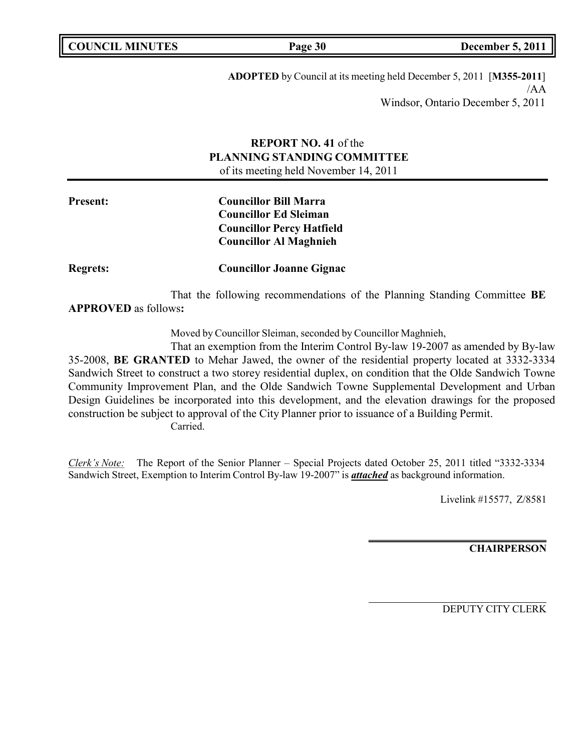| <b>COUNCIL MINUTES</b> |  |
|------------------------|--|
|------------------------|--|

**ADOPTED** by Council at its meeting held December 5, 2011 [**M355-2011**] /AA Windsor, Ontario December 5, 2011

## **REPORT NO. 41** of the **PLANNING STANDING COMMITTEE** of its meeting held November 14, 2011

**Present: Councillor Bill Marra Councillor Ed Sleiman Councillor Percy Hatfield Councillor Al Maghnieh**

**Regrets: Councillor Joanne Gignac**

That the following recommendations of the Planning Standing Committee **BE APPROVED** as follows**:**

Moved by Councillor Sleiman, seconded by Councillor Maghnieh,

That an exemption from the Interim Control By-law 19-2007 as amended by By-law 35-2008, **BE GRANTED** to Mehar Jawed, the owner of the residential property located at 3332-3334 Sandwich Street to construct a two storey residential duplex, on condition that the Olde Sandwich Towne Community Improvement Plan, and the Olde Sandwich Towne Supplemental Development and Urban Design Guidelines be incorporated into this development, and the elevation drawings for the proposed construction be subject to approval of the City Planner prior to issuance of a Building Permit. Carried.

*Clerk's Note:* The Report of the Senior Planner – Special Projects dated October 25, 2011 titled "3332-3334 Sandwich Street, Exemption to Interim Control By-law 19-2007" is *attached* as background information.

Livelink #15577, Z/8581

**CHAIRPERSON**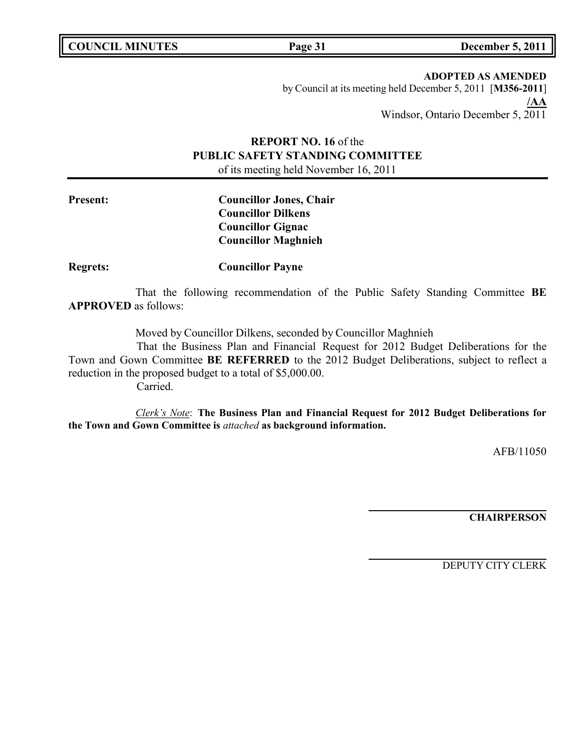**COUNCIL MINUTES Page 31 December 5, 2011**

**ADOPTED AS AMENDED** by Council at its meeting held December 5, 2011 [**M356-2011**] **/AA** Windsor, Ontario December 5, 2011

# **REPORT NO. 16** of the **PUBLIC SAFETY STANDING COMMITTEE**

of its meeting held November 16, 2011

**Present: Councillor Jones, Chair Councillor Dilkens Councillor Gignac Councillor Maghnieh**

**Regrets: Councillor Payne**

That the following recommendation of the Public Safety Standing Committee **BE APPROVED** as follows:

Moved by Councillor Dilkens, seconded by Councillor Maghnieh

That the Business Plan and Financial Request for 2012 Budget Deliberations for the Town and Gown Committee **BE REFERRED** to the 2012 Budget Deliberations, subject to reflect a reduction in the proposed budget to a total of \$5,000.00. Carried.

*Clerk's Note*: **The Business Plan and Financial Request for 2012 Budget Deliberations for the Town and Gown Committee is** *attached* **as background information.**

AFB/11050

**CHAIRPERSON**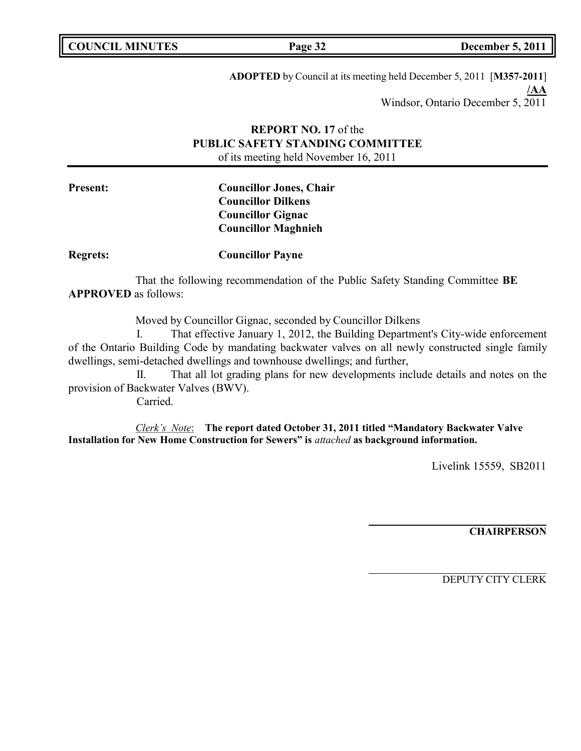| <b>COUNCIL MINUTES</b> |  |
|------------------------|--|
|------------------------|--|

**COUNCIL MINUTES Page 32 December 5, 2011**

**ADOPTED** by Council at its meeting held December 5, 2011 [**M357-2011**] **/AA** Windsor, Ontario December 5, 2011

## **REPORT NO. 17** of the **PUBLIC SAFETY STANDING COMMITTEE** of its meeting held November 16, 2011

**Present: Councillor Jones, Chair Councillor Dilkens Councillor Gignac Councillor Maghnieh**

**Regrets: Councillor Payne**

That the following recommendation of the Public Safety Standing Committee **BE APPROVED** as follows:

Moved by Councillor Gignac, seconded by Councillor Dilkens

I. That effective January 1, 2012, the Building Department's City-wide enforcement of the Ontario Building Code by mandating backwater valves on all newly constructed single family dwellings, semi-detached dwellings and townhouse dwellings; and further,

II. That all lot grading plans for new developments include details and notes on the provision of Backwater Valves (BWV).

Carried.

*Clerk's Note*: **The report dated October 31, 2011 titled "Mandatory Backwater Valve Installation for New Home Construction for Sewers" is** *attached* **as background information.**

Livelink 15559, SB2011

**CHAIRPERSON**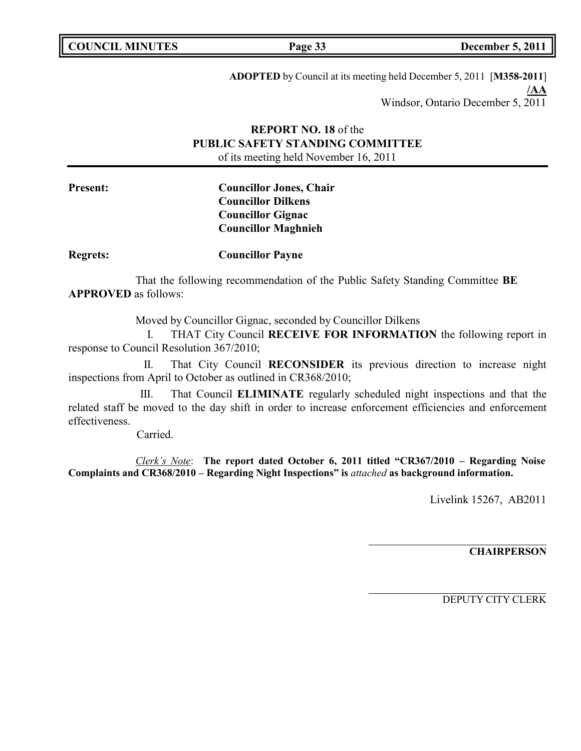| <b>COUNCIL MINUTES</b> |  |
|------------------------|--|
|------------------------|--|

**COUNCIL MINUTES Page 33 December 5, 2011**

**ADOPTED** by Council at its meeting held December 5, 2011 [**M358-2011**] **/AA** Windsor, Ontario December 5, 2011

## **REPORT NO. 18** of the **PUBLIC SAFETY STANDING COMMITTEE** of its meeting held November 16, 2011

**Present: Councillor Jones, Chair Councillor Dilkens Councillor Gignac Councillor Maghnieh**

**Regrets: Councillor Payne**

That the following recommendation of the Public Safety Standing Committee **BE APPROVED** as follows:

Moved by Councillor Gignac, seconded by Councillor Dilkens

I. THAT City Council **RECEIVE FOR INFORMATION** the following report in response to Council Resolution 367/2010;

II. That City Council **RECONSIDER** its previous direction to increase night inspections from April to October as outlined in CR368/2010;

III. That Council **ELIMINATE** regularly scheduled night inspections and that the related staff be moved to the day shift in order to increase enforcement efficiencies and enforcement effectiveness.

Carried.

*Clerk's Note*: **The report dated October 6, 2011 titled "CR367/2010 – Regarding Noise Complaints and CR368/2010 – Regarding Night Inspections" is** *attached* **as background information.**

Livelink 15267, AB2011

**CHAIRPERSON**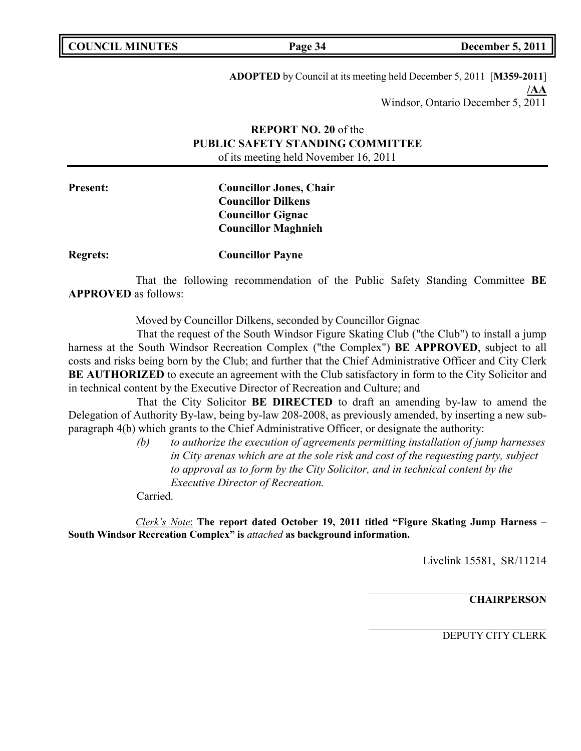| <b>COUNCIL MINUTES</b> |  |  |
|------------------------|--|--|
|------------------------|--|--|

**COUNCIL MINUTES Page 34 December 5, 2011**

**ADOPTED** by Council at its meeting held December 5, 2011 [**M359-2011**] **/AA** Windsor, Ontario December 5, 2011

## **REPORT NO. 20** of the **PUBLIC SAFETY STANDING COMMITTEE** of its meeting held November 16, 2011

## **Present: Councillor Jones, Chair Councillor Dilkens Councillor Gignac Councillor Maghnieh**

**Regrets: Councillor Payne**

That the following recommendation of the Public Safety Standing Committee **BE APPROVED** as follows:

Moved by Councillor Dilkens, seconded by Councillor Gignac

That the request of the South Windsor Figure Skating Club ("the Club") to install a jump harness at the South Windsor Recreation Complex ("the Complex") **BE APPROVED**, subject to all costs and risks being born by the Club; and further that the Chief Administrative Officer and City Clerk **BE AUTHORIZED** to execute an agreement with the Club satisfactory in form to the City Solicitor and in technical content by the Executive Director of Recreation and Culture; and

That the City Solicitor **BE DIRECTED** to draft an amending by-law to amend the Delegation of Authority By-law, being by-law 208-2008, as previously amended, by inserting a new subparagraph 4(b) which grants to the Chief Administrative Officer, or designate the authority:

> *(b) to authorize the execution of agreements permitting installation of jump harnesses in City arenas which are at the sole risk and cost of the requesting party, subject to approval as to form by the City Solicitor, and in technical content by the Executive Director of Recreation.*

Carried.

*Clerk's Note*: **The report dated October 19, 2011 titled "Figure Skating Jump Harness – South Windsor Recreation Complex" is** *attached* **as background information.**

Livelink 15581, SR/11214

**CHAIRPERSON**